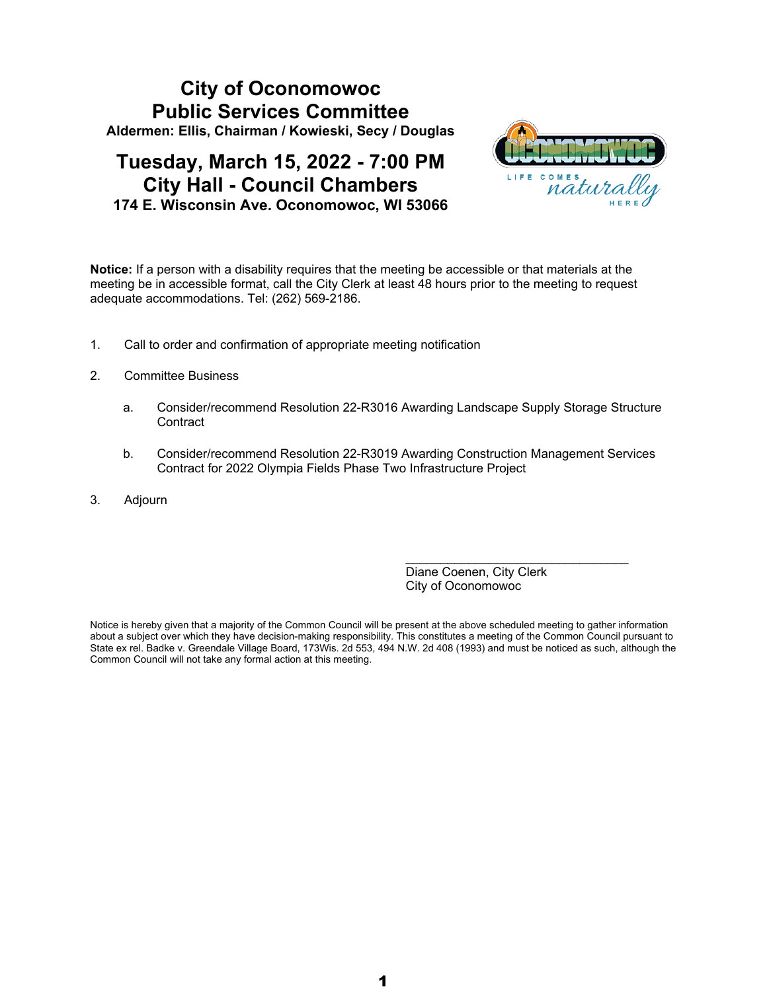# **City of Oconomowoc Public Services Committee Aldermen: Ellis, Chairman / Kowieski, Secy / Douglas**

# **Tuesday, March 15, 2022 - 7:00 PM City Hall - Council Chambers 174 E. Wisconsin Ave. Oconomowoc, WI 53066**



**Notice:** If a person with a disability requires that the meeting be accessible or that materials at the meeting be in accessible format, call the City Clerk at least 48 hours prior to the meeting to request adequate accommodations. Tel: (262) 569-2186.

- 1. Call to order and confirmation of appropriate meeting notification
- 2. Committee Business
	- a. Consider/recommend Resolution 22-R3016 Awarding Landscape Supply Storage Structure **Contract**
	- b. Consider/recommend Resolution 22-R3019 Awarding Construction Management Services Contract for 2022 Olympia Fields Phase Two Infrastructure Project
- 3. Adjourn

Diane Coenen, City Clerk City of Oconomowoc

\_\_\_\_\_\_\_\_\_\_\_\_\_\_\_\_\_\_\_\_\_\_\_\_\_\_\_\_\_\_\_\_

Notice is hereby given that a majority of the Common Council will be present at the above scheduled meeting to gather information about a subject over which they have decision-making responsibility. This constitutes a meeting of the Common Council pursuant to State ex rel. Badke v. Greendale Village Board, 173Wis. 2d 553, 494 N.W. 2d 408 (1993) and must be noticed as such, although the Common Council will not take any formal action at this meeting.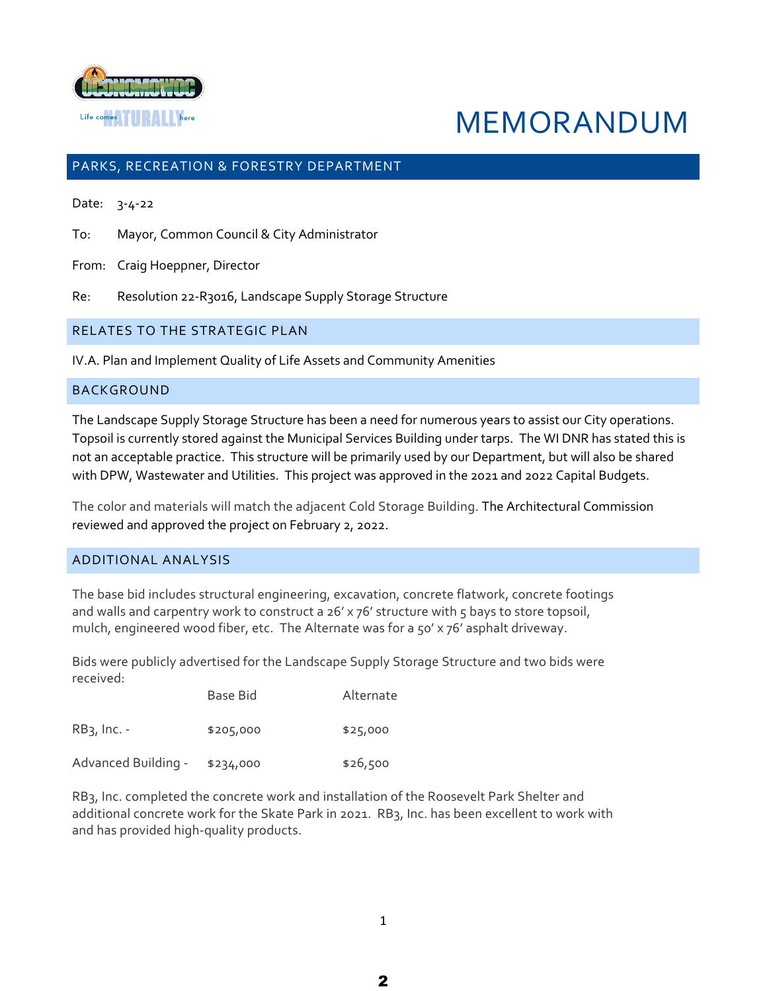

# MEMORANDUM

# PARKS, RECREATION & FORESTRY DEPARTMENT

Date: 3-4-22

To: Mayor, Common Council & City Administrator

From: Craig Hoeppner, Director

Re: Resolution 22-R3016, Landscape Supply Storage Structure

### RELATES TO THE STRATEGIC PLAN

IV.A. Plan and Implement Quality of Life Assets and Community Amenities

### BACKGROUND

The Landscape Supply Storage Structure has been a need for numerous years to assist our City operations. Topsoil is currently stored against the Municipal Services Building under tarps. The WI DNR has stated this is not an acceptable practice. This structure will be primarily used by our Department, but will also be shared with DPW, Wastewater and Utilities. This project was approved in the 2021 and 2022 Capital Budgets.

The color and materials will match the adjacent Cold Storage Building. The Architectural Commission reviewed and approved the project on February 2, 2022.

### ADDITIONAL ANALYSIS

The base bid includes structural engineering, excavation, concrete flatwork, concrete footings and walls and carpentry work to construct a 26' x 76' structure with 5 bays to store topsoil, mulch, engineered wood fiber, etc. The Alternate was for a 50' x 76' asphalt driveway.

Bids were publicly advertised for the Landscape Supply Storage Structure and two bids were received:

|                     | Base Bid  | Alternate |
|---------------------|-----------|-----------|
| $RB3$ , Inc. -      | \$205,000 | \$25,000  |
| Advanced Building - | \$234,000 | \$26,500  |

RB3, Inc. completed the concrete work and installation of the Roosevelt Park Shelter and additional concrete work for the Skate Park in 2021. RB3, Inc. has been excellent to work with and has provided high-quality products.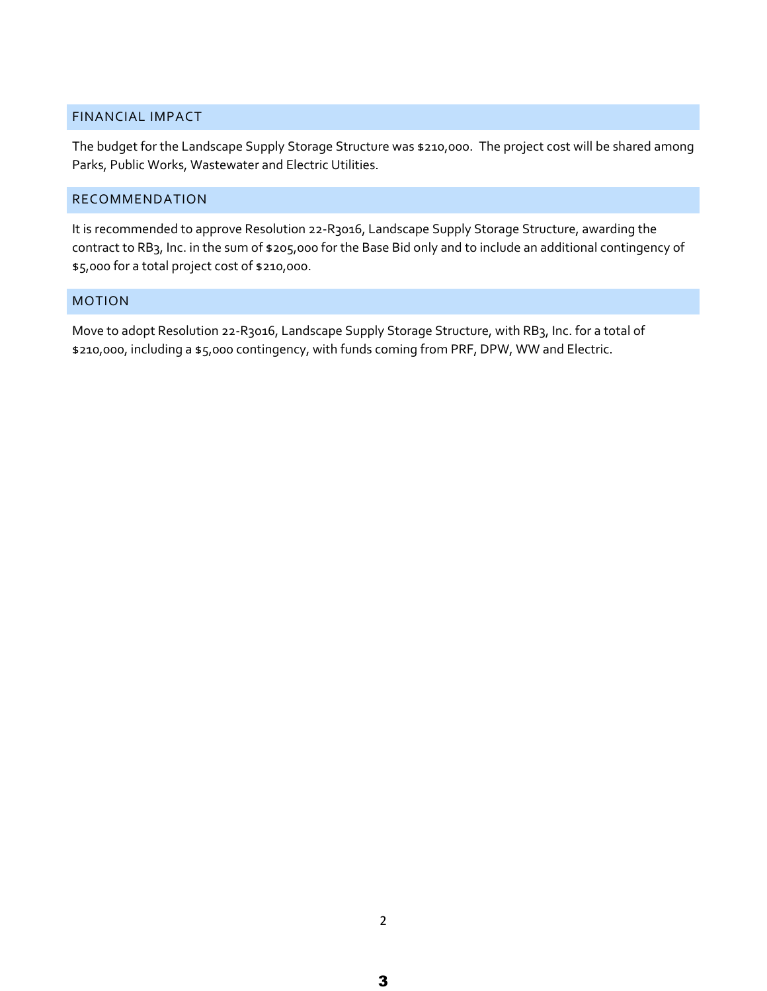# FINANCIAL IMPACT

The budget for the Landscape Supply Storage Structure was \$210,000. The project cost will be shared among Parks, Public Works, Wastewater and Electric Utilities.

# RECOMMENDATION

It is recommended to approve Resolution 22-R3016, Landscape Supply Storage Structure, awarding the contract to RB3, Inc. in the sum of \$205,000 for the Base Bid only and to include an additional contingency of \$5,000 for a total project cost of \$210,000.

## MOTION

Move to adopt Resolution 22-R3016, Landscape Supply Storage Structure, with RB3, Inc. for a total of \$210,000, including a \$5,000 contingency, with funds coming from PRF, DPW, WW and Electric.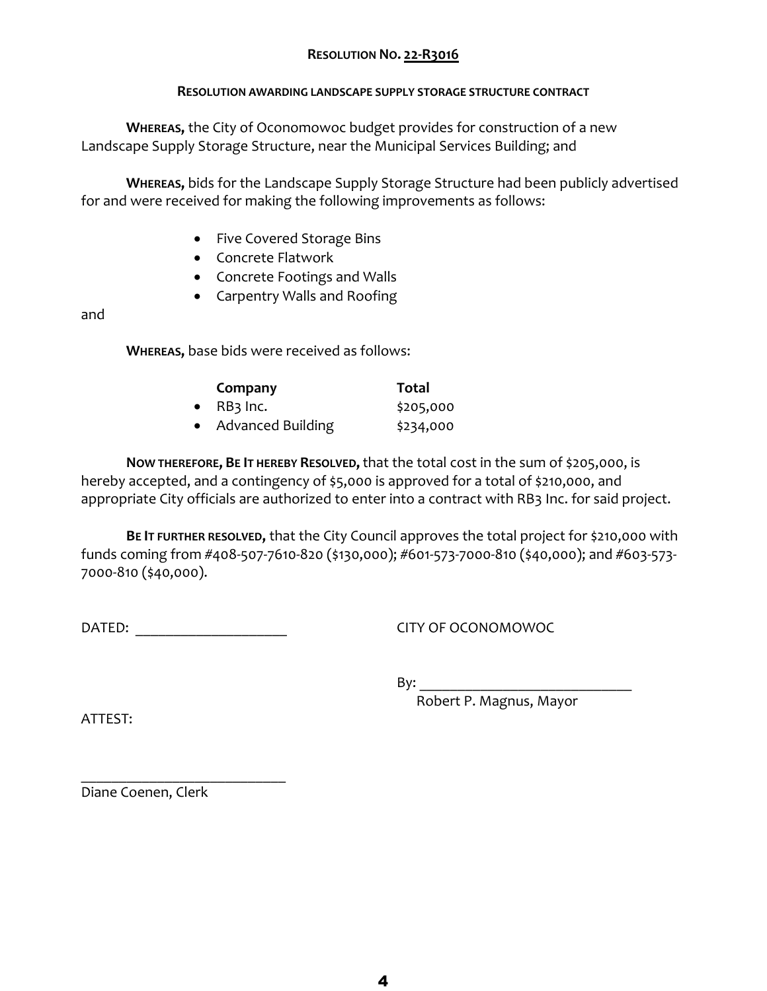# **RESOLUTION NO. 22-R3016**

# **RESOLUTION AWARDING LANDSCAPE SUPPLY STORAGE STRUCTURE CONTRACT**

**WHEREAS,** the City of Oconomowoc budget provides for construction of a new Landscape Supply Storage Structure, near the Municipal Services Building; and

**WHEREAS,** bids for the Landscape Supply Storage Structure had been publicly advertised for and were received for making the following improvements as follows:

- Five Covered Storage Bins
- Concrete Flatwork
- Concrete Footings and Walls
- Carpentry Walls and Roofing

and

**WHEREAS,** base bids were received as follows:

| Company             | Total     |
|---------------------|-----------|
| $\bullet$ RB3 Inc.  | \$205,000 |
| • Advanced Building | \$234,000 |

**NOW THEREFORE, BE IT HEREBY RESOLVED,**that the total cost in the sum of \$205,000, is hereby accepted, and a contingency of \$5,000 is approved for a total of \$210,000, and appropriate City officials are authorized to enter into a contract with RB3 Inc. for said project.

**BE IT FURTHER RESOLVED,** that the City Council approves the total project for \$210,000 with funds coming from #408-507-7610-820 (\$130,000); #601-573-7000-810 (\$40,000); and #603-573- 7000-810 (\$40,000).

DATED: CITY OF OCONOMOWOC

 $\overline{\phantom{a}}$  , where  $\overline{\phantom{a}}$  , where  $\overline{\phantom{a}}$  , where  $\overline{\phantom{a}}$  ,  $\overline{\phantom{a}}$  ,  $\overline{\phantom{a}}$  ,  $\overline{\phantom{a}}$  ,  $\overline{\phantom{a}}$  ,  $\overline{\phantom{a}}$  ,  $\overline{\phantom{a}}$  ,  $\overline{\phantom{a}}$  ,  $\overline{\phantom{a}}$  ,  $\overline{\phantom{a}}$  ,  $\overline{\phantom{a}}$  ,  $\overline{\phantom$ 

 $Bv:$ 

Robert P. Magnus, Mayor

ATTEST:

Diane Coenen, Clerk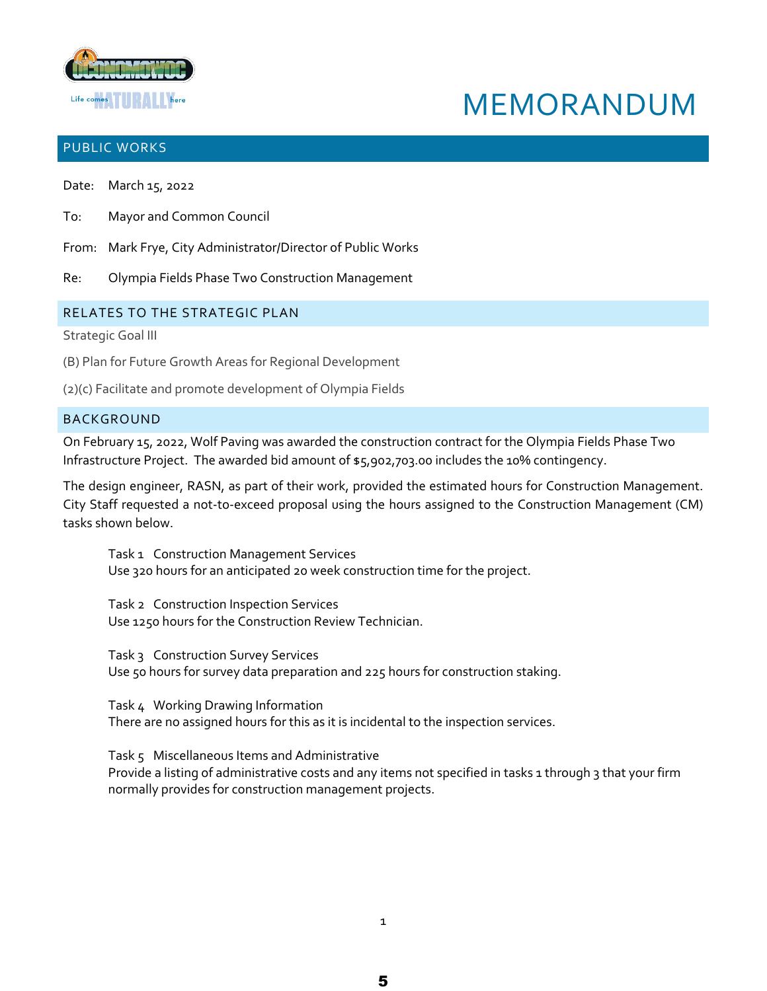

# MEMORANDUM

# PUBLIC WORKS

Date: March 15, 2022

- To: Mayor and Common Council
- From: Mark Frye, City Administrator/Director of Public Works
- Re: Olympia Fields Phase Two Construction Management

## RELATES TO THE STRATEGIC PLAN

Strategic Goal III

- (B) Plan for Future Growth Areas for Regional Development
- (2)(c) Facilitate and promote development of Olympia Fields

## BACKGROUND

On February 15, 2022, Wolf Paving was awarded the construction contract for the Olympia Fields Phase Two Infrastructure Project. The awarded bid amount of \$5,902,703.00 includes the 10% contingency.

The design engineer, RASN, as part of their work, provided the estimated hours for Construction Management. City Staff requested a not-to-exceed proposal using the hours assigned to the Construction Management (CM) tasks shown below.

Task 1 Construction Management Services Use 320 hours for an anticipated 20 week construction time for the project.

Task 2 Construction Inspection Services Use 1250 hours for the Construction Review Technician.

Task 3 Construction Survey Services Use 50 hours for survey data preparation and 225 hours for construction staking.

Task 4 Working Drawing Information There are no assigned hours for this as it is incidental to the inspection services.

Task 5 Miscellaneous Items and Administrative Provide a listing of administrative costs and any items not specified in tasks 1 through 3 that your firm normally provides for construction management projects.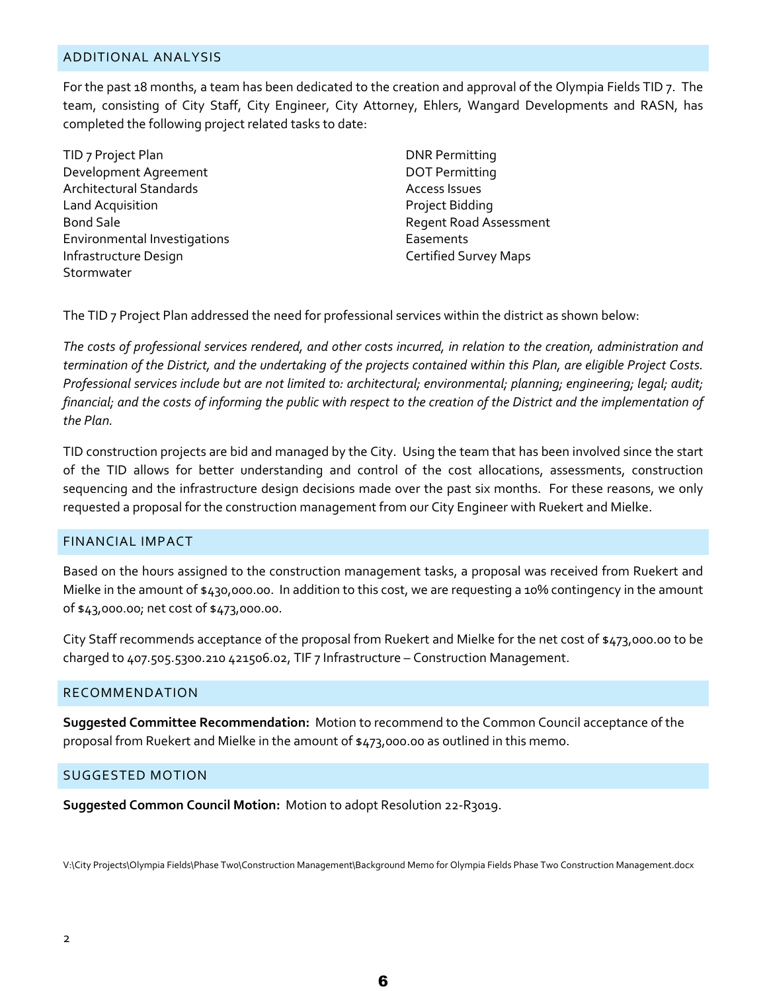### ADDITIONAL ANALYSIS

For the past 18 months, a team has been dedicated to the creation and approval of the Olympia Fields TID 7. The team, consisting of City Staff, City Engineer, City Attorney, Ehlers, Wangard Developments and RASN, has completed the following project related tasks to date:

TID 7 Project Plan Development Agreement Architectural Standards Land Acquisition Bond Sale Environmental Investigations Infrastructure Design Stormwater

DNR Permitting DOT Permitting Access Issues Project Bidding Regent Road Assessment Easements Certified Survey Maps

The TID 7 Project Plan addressed the need for professional services within the district as shown below:

*The costs of professional services rendered, and other costs incurred, in relation to the creation, administration and termination of the District, and the undertaking of the projects contained within this Plan, are eligible Project Costs. Professional services include but are not limited to: architectural; environmental; planning; engineering; legal; audit; financial; and the costs of informing the public with respect to the creation of the District and the implementation of the Plan.*

TID construction projects are bid and managed by the City. Using the team that has been involved since the start of the TID allows for better understanding and control of the cost allocations, assessments, construction sequencing and the infrastructure design decisions made over the past six months. For these reasons, we only requested a proposal for the construction management from our City Engineer with Ruekert and Mielke.

### FINANCIAL IMPACT

Based on the hours assigned to the construction management tasks, a proposal was received from Ruekert and Mielke in the amount of \$430,000.00. In addition to this cost, we are requesting a 10% contingency in the amount of \$43,000.00; net cost of \$473,000.00.

City Staff recommends acceptance of the proposal from Ruekert and Mielke for the net cost of \$473,000.00 to be charged to 407.505.5300.210 421506.02, TIF 7 Infrastructure – Construction Management.

### RECOMMENDATION

**Suggested Committee Recommendation:** Motion to recommend to the Common Council acceptance of the proposal from Ruekert and Mielke in the amount of \$473,000.00 as outlined in this memo.

### SUGGESTED MOTION

**Suggested Common Council Motion:** Motion to adopt Resolution 22-R3019.

V:\City Projects\Olympia Fields\Phase Two\Construction Management\Background Memo for Olympia Fields Phase Two Construction Management.docx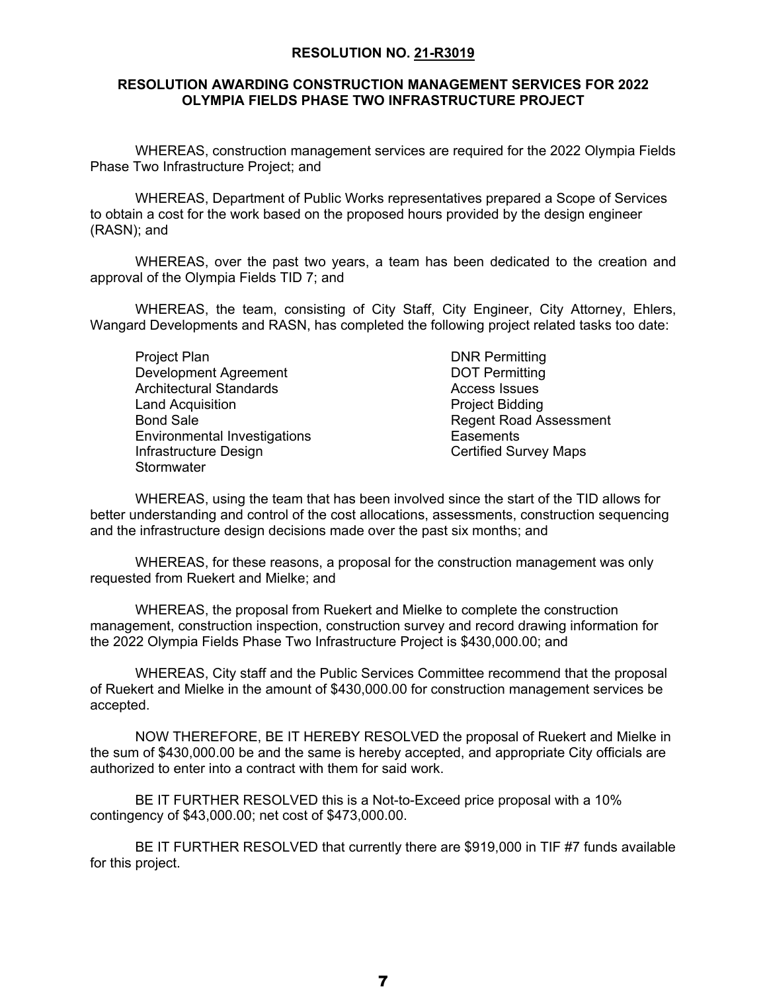### **RESOLUTION NO. 21-R3019**

# **RESOLUTION AWARDING CONSTRUCTION MANAGEMENT SERVICES FOR 2022 OLYMPIA FIELDS PHASE TWO INFRASTRUCTURE PROJECT**

WHEREAS, construction management services are required for the 2022 Olympia Fields Phase Two Infrastructure Project; and

WHEREAS, Department of Public Works representatives prepared a Scope of Services to obtain a cost for the work based on the proposed hours provided by the design engineer (RASN); and

WHEREAS, over the past two years, a team has been dedicated to the creation and approval of the Olympia Fields TID 7; and

WHEREAS, the team, consisting of City Staff, City Engineer, City Attorney, Ehlers, Wangard Developments and RASN, has completed the following project related tasks too date:

Project Plan Development Agreement Architectural Standards Land Acquisition Bond Sale Environmental Investigations Infrastructure Design **Stormwater** 

DNR Permitting DOT Permitting Access Issues Project Bidding Regent Road Assessment **Easements** Certified Survey Maps

WHEREAS, using the team that has been involved since the start of the TID allows for better understanding and control of the cost allocations, assessments, construction sequencing and the infrastructure design decisions made over the past six months; and

WHEREAS, for these reasons, a proposal for the construction management was only requested from Ruekert and Mielke; and

WHEREAS, the proposal from Ruekert and Mielke to complete the construction management, construction inspection, construction survey and record drawing information for the 2022 Olympia Fields Phase Two Infrastructure Project is \$430,000.00; and

WHEREAS, City staff and the Public Services Committee recommend that the proposal of Ruekert and Mielke in the amount of \$430,000.00 for construction management services be accepted.

NOW THEREFORE, BE IT HEREBY RESOLVED the proposal of Ruekert and Mielke in the sum of \$430,000.00 be and the same is hereby accepted, and appropriate City officials are authorized to enter into a contract with them for said work.

BE IT FURTHER RESOLVED this is a Not-to-Exceed price proposal with a 10% contingency of \$43,000.00; net cost of \$473,000.00.

BE IT FURTHER RESOLVED that currently there are \$919,000 in TIF #7 funds available for this project.